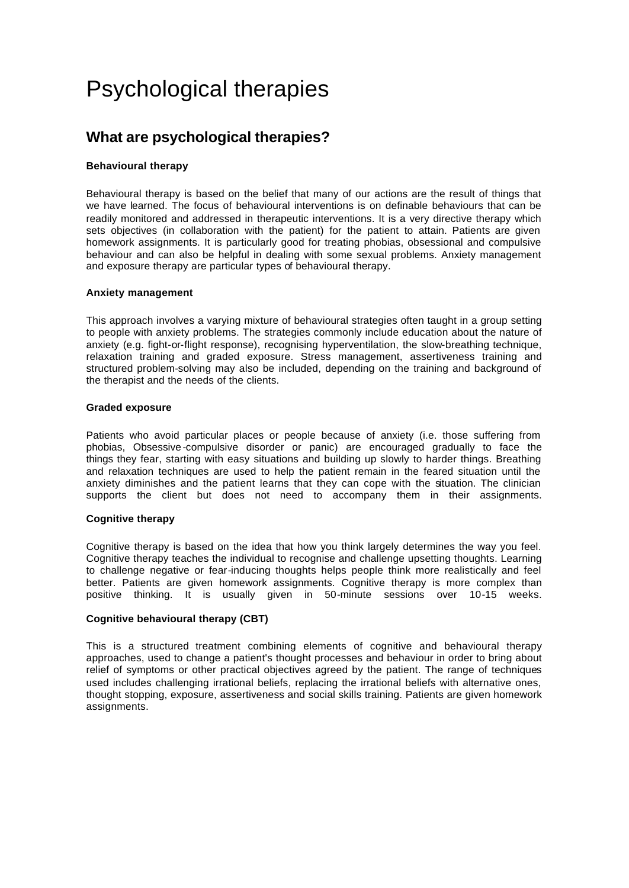# Psychological therapies

# **What are psychological therapies?**

## **Behavioural therapy**

Behavioural therapy is based on the belief that many of our actions are the result of things that we have learned. The focus of behavioural interventions is on definable behaviours that can be readily monitored and addressed in therapeutic interventions. It is a very directive therapy which sets objectives (in collaboration with the patient) for the patient to attain. Patients are given homework assignments. It is particularly good for treating phobias, obsessional and compulsive behaviour and can also be helpful in dealing with some sexual problems. Anxiety management and exposure therapy are particular types of behavioural therapy.

#### **Anxiety management**

This approach involves a varying mixture of behavioural strategies often taught in a group setting to people with anxiety problems. The strategies commonly include education about the nature of anxiety (e.g. fight-or-flight response), recognising hyperventilation, the slow-breathing technique, relaxation training and graded exposure. Stress management, assertiveness training and structured problem-solving may also be included, depending on the training and background of the therapist and the needs of the clients.

#### **Graded exposure**

Patients who avoid particular places or people because of anxiety (i.e. those suffering from phobias, Obsessive -compulsive disorder or panic) are encouraged gradually to face the things they fear, starting with easy situations and building up slowly to harder things. Breathing and relaxation techniques are used to help the patient remain in the feared situation until the anxiety diminishes and the patient learns that they can cope with the situation. The clinician supports the client but does not need to accompany them in their assignments.

#### **Cognitive therapy**

Cognitive therapy is based on the idea that how you think largely determines the way you feel. Cognitive therapy teaches the individual to recognise and challenge upsetting thoughts. Learning to challenge negative or fear-inducing thoughts helps people think more realistically and feel better. Patients are given homework assignments. Cognitive therapy is more complex than positive thinking. It is usually given in 50-minute sessions over 10-15 weeks.

# **Cognitive behavioural therapy (CBT)**

This is a structured treatment combining elements of cognitive and behavioural therapy approaches, used to change a patient's thought processes and behaviour in order to bring about relief of symptoms or other practical objectives agreed by the patient. The range of techniques used includes challenging irrational beliefs, replacing the irrational beliefs with alternative ones, thought stopping, exposure, assertiveness and social skills training. Patients are given homework assignments.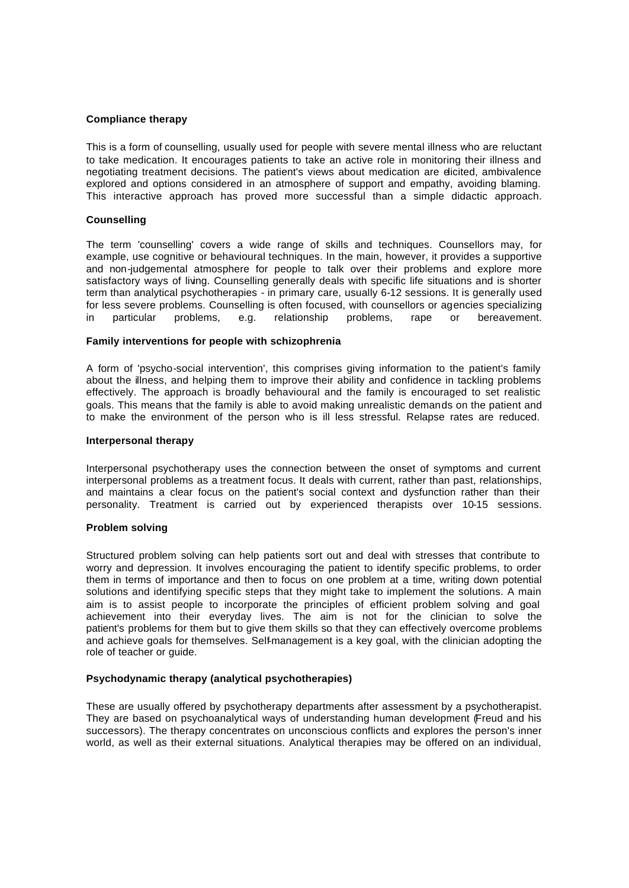#### **Compliance therapy**

This is a form of counselling, usually used for people with severe mental illness who are reluctant to take medication. It encourages patients to take an active role in monitoring their illness and negotiating treatment decisions. The patient's views about medication are elicited, ambivalence explored and options considered in an atmosphere of support and empathy, avoiding blaming. This interactive approach has proved more successful than a simple didactic approach.

#### **Counselling**

The term 'counselling' covers a wide range of skills and techniques. Counsellors may, for example, use cognitive or behavioural techniques. In the main, however, it provides a supportive and non-judgemental atmosphere for people to talk over their problems and explore more satisfactory ways of living. Counselling generally deals with specific life situations and is shorter term than analytical psychotherapies - in primary care, usually 6-12 sessions. It is generally used for less severe problems. Counselling is often focused, with counsellors or agencies specializing<br>in particular problems, e.g. relationship problems, rape or bereavement. in particular problems, e.g. relationship problems, rape or bereavement.

### **Family interventions for people with schizophrenia**

A form of 'psycho-social intervention', this comprises giving information to the patient's family about the illness, and helping them to improve their ability and confidence in tackling problems effectively. The approach is broadly behavioural and the family is encouraged to set realistic goals. This means that the family is able to avoid making unrealistic demands on the patient and to make the environment of the person who is ill less stressful. Relapse rates are reduced.

#### **Interpersonal therapy**

Interpersonal psychotherapy uses the connection between the onset of symptoms and current interpersonal problems as a treatment focus. It deals with current, rather than past, relationships, and maintains a clear focus on the patient's social context and dysfunction rather than their personality. Treatment is carried out by experienced therapists over 10-15 sessions.

#### **Problem solving**

Structured problem solving can help patients sort out and deal with stresses that contribute to worry and depression. It involves encouraging the patient to identify specific problems, to order them in terms of importance and then to focus on one problem at a time, writing down potential solutions and identifying specific steps that they might take to implement the solutions. A main aim is to assist people to incorporate the principles of efficient problem solving and goal achievement into their everyday lives. The aim is not for the clinician to solve the patient's problems for them but to give them skills so that they can effectively overcome problems and achieve goals for themselves. Self-management is a key goal, with the clinician adopting the role of teacher or guide.

#### **Psychodynamic therapy (analytical psychotherapies)**

These are usually offered by psychotherapy departments after assessment by a psychotherapist. They are based on psychoanalytical ways of understanding human development (Freud and his successors). The therapy concentrates on unconscious conflicts and explores the person's inner world, as well as their external situations. Analytical therapies may be offered on an individual,